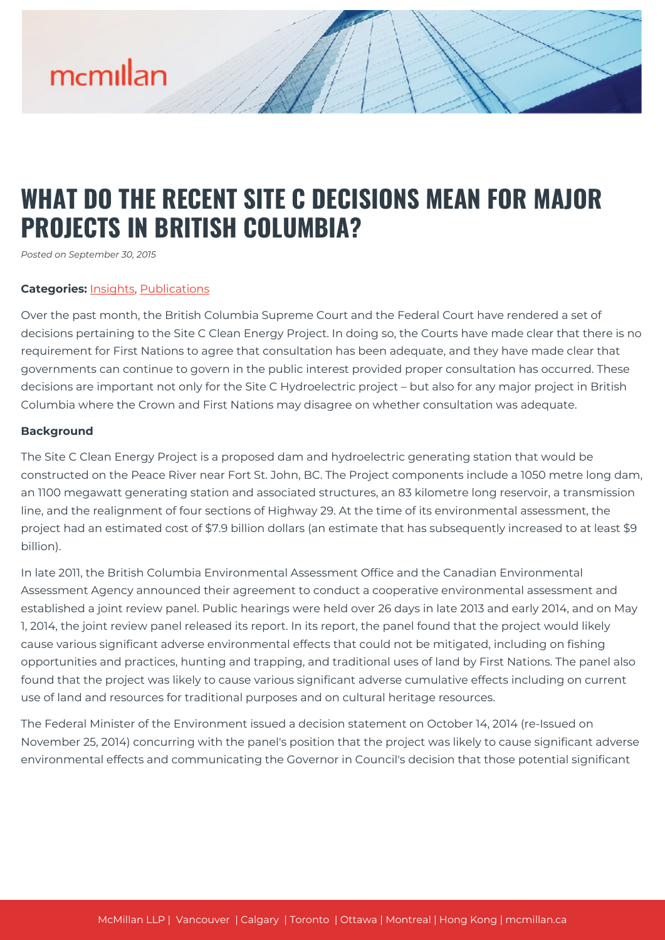# mcmillan

### **WHAT DO THE RECENT SITE C DECISIONS MEAN FOR MAJOR PROJECTS IN BRITISH COLUMBIA?**

*Posted on September 30, 2015*

#### **Categories:** [Insights,](https://mcmillan.ca/insights/) [Publications](https://mcmillan.ca/insights/publications/)

Over the past month, the British Columbia Supreme Court and the Federal Court have rendered a set of decisions pertaining to the Site C Clean Energy Project. In doing so, the Courts have made clear that there is no requirement for First Nations to agree that consultation has been adequate, and they have made clear that governments can continue to govern in the public interest provided proper consultation has occurred. These decisions are important not only for the Site C Hydroelectric project – but also for any major project in British Columbia where the Crown and First Nations may disagree on whether consultation was adequate.

#### **Background**

The Site C Clean Energy Project is a proposed dam and hydroelectric generating station that would be constructed on the Peace River near Fort St. John, BC. The Project components include a 1050 metre long dam, an 1100 megawatt generating station and associated structures, an 83 kilometre long reservoir, a transmission line, and the realignment of four sections of Highway 29. At the time of its environmental assessment, the project had an estimated cost of \$7.9 billion dollars (an estimate that has subsequently increased to at least \$9 billion).

In late 2011, the British Columbia Environmental Assessment Office and the Canadian Environmental Assessment Agency announced their agreement to conduct a cooperative environmental assessment and established a joint review panel. Public hearings were held over 26 days in late 2013 and early 2014, and on May 1, 2014, the joint review panel released its report. In its report, the panel found that the project would likely cause various significant adverse environmental effects that could not be mitigated, including on fishing opportunities and practices, hunting and trapping, and traditional uses of land by First Nations. The panel also found that the project was likely to cause various significant adverse cumulative effects including on current use of land and resources for traditional purposes and on cultural heritage resources.

The Federal Minister of the Environment issued a decision statement on October 14, 2014 (re-Issued on November 25, 2014) concurring with the panel's position that the project was likely to cause significant adverse environmental effects and communicating the Governor in Council's decision that those potential significant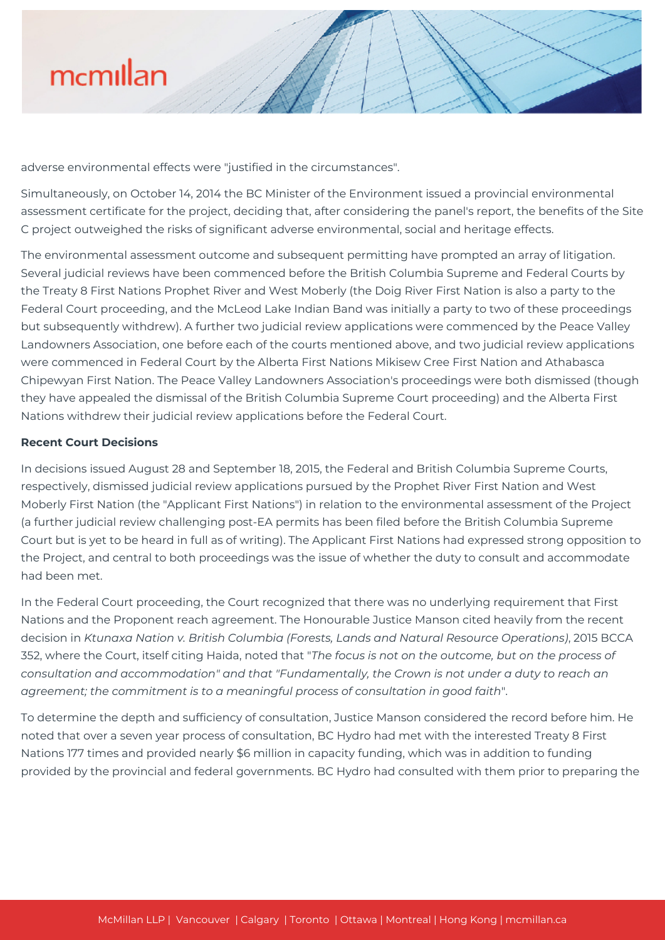

adverse environmental effects were "justified in the circumstances".

Simultaneously, on October 14, 2014 the BC Minister of the Environment issued a provincial environmental assessment certificate for the project, deciding that, after considering the panel's report, the benefits of the Site C project outweighed the risks of significant adverse environmental, social and heritage effects.

The environmental assessment outcome and subsequent permitting have prompted an array of litigation. Several judicial reviews have been commenced before the British Columbia Supreme and Federal Courts by the Treaty 8 First Nations Prophet River and West Moberly (the Doig River First Nation is also a party to the Federal Court proceeding, and the McLeod Lake Indian Band was initially a party to two of these proceedings but subsequently withdrew). A further two judicial review applications were commenced by the Peace Valley Landowners Association, one before each of the courts mentioned above, and two judicial review applications were commenced in Federal Court by the Alberta First Nations Mikisew Cree First Nation and Athabasca Chipewyan First Nation. The Peace Valley Landowners Association's proceedings were both dismissed (though they have appealed the dismissal of the British Columbia Supreme Court proceeding) and the Alberta First Nations withdrew their judicial review applications before the Federal Court.

### **Recent Court Decisions**

In decisions issued August 28 and September 18, 2015, the Federal and British Columbia Supreme Courts, respectively, dismissed judicial review applications pursued by the Prophet River First Nation and West Moberly First Nation (the "Applicant First Nations") in relation to the environmental assessment of the Project (a further judicial review challenging post-EA permits has been filed before the British Columbia Supreme Court but is yet to be heard in full as of writing). The Applicant First Nations had expressed strong opposition to the Project, and central to both proceedings was the issue of whether the duty to consult and accommodate had been met.

In the Federal Court proceeding, the Court recognized that there was no underlying requirement that First Nations and the Proponent reach agreement. The Honourable Justice Manson cited heavily from the recent decision in *Ktunaxa Nation v. British Columbia (Forests, Lands and Natural Resource Operations)*, 2015 BCCA 352, where the Court, itself citing Haida, noted that "*The focus is not on the outcome, but on the process of consultation and accommodation" and that "Fundamentally, the Crown is not under a duty to reach an agreement; the commitment is to a meaningful process of consultation in good faith*".

To determine the depth and sufficiency of consultation, Justice Manson considered the record before him. He noted that over a seven year process of consultation, BC Hydro had met with the interested Treaty 8 First Nations 177 times and provided nearly \$6 million in capacity funding, which was in addition to funding provided by the provincial and federal governments. BC Hydro had consulted with them prior to preparing the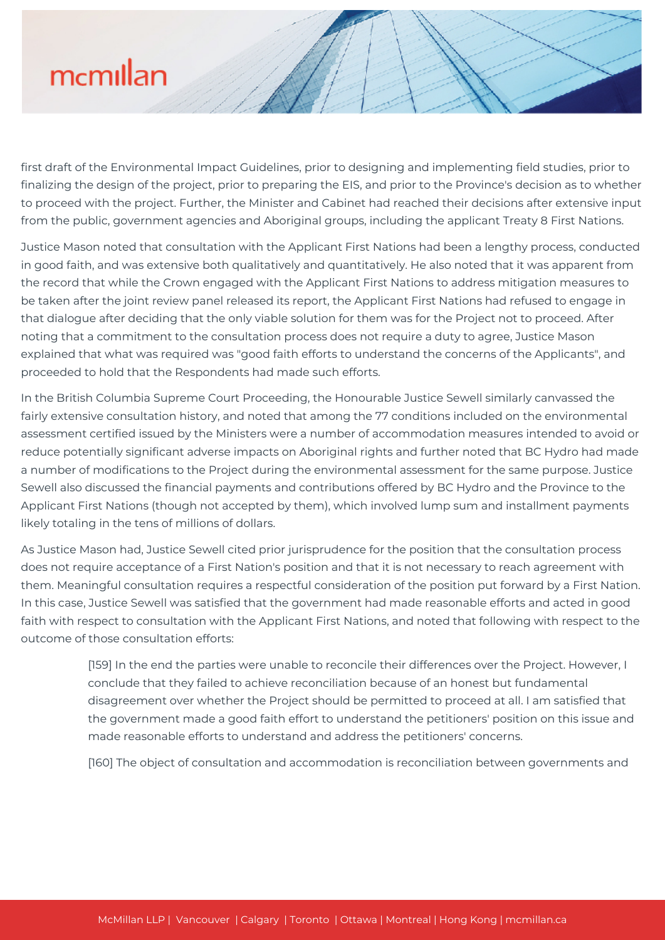## mcmillan

first draft of the Environmental Impact Guidelines, prior to designing and implementing field studies, prior to finalizing the design of the project, prior to preparing the EIS, and prior to the Province's decision as to whether to proceed with the project. Further, the Minister and Cabinet had reached their decisions after extensive input from the public, government agencies and Aboriginal groups, including the applicant Treaty 8 First Nations.

Justice Mason noted that consultation with the Applicant First Nations had been a lengthy process, conducted in good faith, and was extensive both qualitatively and quantitatively. He also noted that it was apparent from the record that while the Crown engaged with the Applicant First Nations to address mitigation measures to be taken after the joint review panel released its report, the Applicant First Nations had refused to engage in that dialogue after deciding that the only viable solution for them was for the Project not to proceed. After noting that a commitment to the consultation process does not require a duty to agree, Justice Mason explained that what was required was "good faith efforts to understand the concerns of the Applicants", and proceeded to hold that the Respondents had made such efforts.

In the British Columbia Supreme Court Proceeding, the Honourable Justice Sewell similarly canvassed the fairly extensive consultation history, and noted that among the 77 conditions included on the environmental assessment certified issued by the Ministers were a number of accommodation measures intended to avoid or reduce potentially significant adverse impacts on Aboriginal rights and further noted that BC Hydro had made a number of modifications to the Project during the environmental assessment for the same purpose. Justice Sewell also discussed the financial payments and contributions offered by BC Hydro and the Province to the Applicant First Nations (though not accepted by them), which involved lump sum and installment payments likely totaling in the tens of millions of dollars.

As Justice Mason had, Justice Sewell cited prior jurisprudence for the position that the consultation process does not require acceptance of a First Nation's position and that it is not necessary to reach agreement with them. Meaningful consultation requires a respectful consideration of the position put forward by a First Nation. In this case, Justice Sewell was satisfied that the government had made reasonable efforts and acted in good faith with respect to consultation with the Applicant First Nations, and noted that following with respect to the outcome of those consultation efforts:

> [159] In the end the parties were unable to reconcile their differences over the Project. However, I conclude that they failed to achieve reconciliation because of an honest but fundamental disagreement over whether the Project should be permitted to proceed at all. I am satisfied that the government made a good faith effort to understand the petitioners' position on this issue and made reasonable efforts to understand and address the petitioners' concerns.

[160] The object of consultation and accommodation is reconciliation between governments and